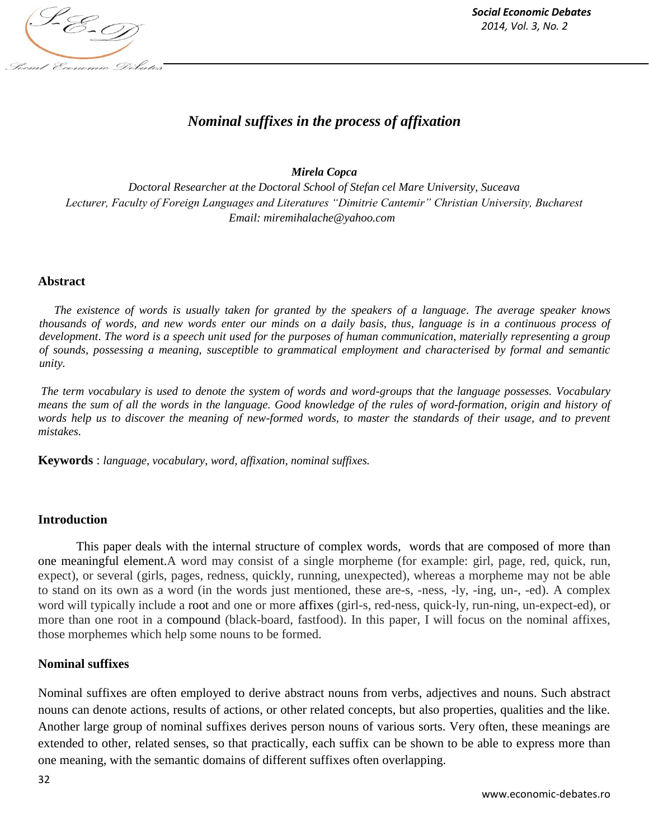

# *Nominal suffixes in the process of affixation*

## *Mirela Copca*

*Doctoral Researcher at the Doctoral School of Stefan cel Mare University, Suceava Lecturer, Faculty of Foreign Languages and Literatures "Dimitrie Cantemir" Christian University, Bucharest Email: miremihalache@yahoo.com*

## **Abstract**

*The existence of words is usually taken for granted by the speakers of a language. The average speaker knows thousands of words, and new words enter our minds on a daily basis, thus, language is in a continuous process of development*. *The word is a speech unit used for the purposes of human communication, materially representing a group of sounds, possessing a meaning, susceptible to grammatical employment and characterised by formal and semantic unity.*

*The term vocabulary is used to denote the system of words and word-groups that the language possesses. Vocabulary means the sum of all the words in the language. Good knowledge of the rules of word-formation, origin and history of words help us to discover the meaning of new-formed words, to master the standards of their usage, and to prevent mistakes.*

**Keywords** : *language, vocabulary, word, affixation, nominal suffixes.*

## **Introduction**

This paper deals with the internal structure of complex words, words that are composed of more than one meaningful element.A word may consist of a single morpheme (for example: girl, page, red, quick, run, expect), or several (girls, pages, redness, quickly, running, unexpected), whereas a morpheme may not be able to stand on its own as a word (in the words just mentioned, these are-s, -ness, -ly, -ing, un-, -ed). A complex word will typically include a root and one or more affixes (girl-s, red-ness, quick-ly, run-ning, un-expect-ed), or more than one root in a compound (black-board, fastfood). In this paper, I will focus on the nominal affixes, those morphemes which help some nouns to be formed.

## **Nominal suffixes**

Nominal suffixes are often employed to derive abstract nouns from verbs, adjectives and nouns. Such abstract nouns can denote actions, results of actions, or other related concepts, but also properties, qualities and the like. Another large group of nominal suffixes derives person nouns of various sorts. Very often, these meanings are extended to other, related senses, so that practically, each suffix can be shown to be able to express more than one meaning, with the semantic domains of different suffixes often overlapping.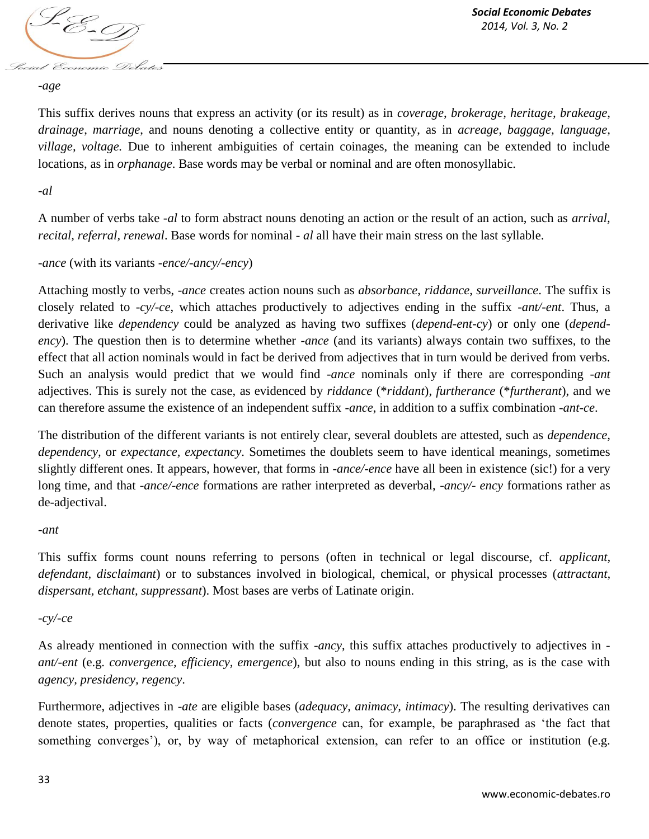

*-age*

This suffix derives nouns that express an activity (or its result) as in *coverage*, *brokerage, heritage, brakeage, drainage*, *marriage*, and nouns denoting a collective entity or quantity, as in *acreage, baggage, language, village, voltage.* Due to inherent ambiguities of certain coinages, the meaning can be extended to include locations, as in *orphanage*. Base words may be verbal or nominal and are often monosyllabic.

## *-al*

A number of verbs take *-al* to form abstract nouns denoting an action or the result of an action, such as *arrival, recital, referral, renewal*. Base words for nominal *- al* all have their main stress on the last syllable.

## *-ance* (with its variants *-ence/-ancy/-ency*)

Attaching mostly to verbs, *-ance* creates action nouns such as *absorbance*, *riddance*, *surveillance*. The suffix is closely related to *-cy/-ce*, which attaches productively to adjectives ending in the suffix *-ant/-ent*. Thus, a derivative like *dependency* could be analyzed as having two suffixes (*depend-ent-cy*) or only one (*dependency*). The question then is to determine whether *-ance* (and its variants) always contain two suffixes, to the effect that all action nominals would in fact be derived from adjectives that in turn would be derived from verbs. Such an analysis would predict that we would find *-ance* nominals only if there are corresponding *-ant*  adjectives. This is surely not the case, as evidenced by *riddance* (\**riddant*), *furtherance* (\**furtherant*), and we can therefore assume the existence of an independent suffix *-ance*, in addition to a suffix combination *-ant-ce*.

The distribution of the different variants is not entirely clear, several doublets are attested, such as *dependence, dependency,* or *expectance, expectancy*. Sometimes the doublets seem to have identical meanings, sometimes slightly different ones. It appears, however, that forms in *-ance/-ence* have all been in existence (sic!) for a very long time, and that -*ance/-ence* formations are rather interpreted as deverbal, *-ancy/- ency* formations rather as de-adjectival.

#### *-ant*

This suffix forms count nouns referring to persons (often in technical or legal discourse, cf. *applicant, defendant, disclaimant*) or to substances involved in biological, chemical, or physical processes (*attractant, dispersant, etchant, suppressant*). Most bases are verbs of Latinate origin.

#### *-cy/-ce*

As already mentioned in connection with the suffix *-ancy*, this suffix attaches productively to adjectives in  *ant/-ent* (e.g. *convergence, efficiency, emergence*), but also to nouns ending in this string, as is the case with *agency, presidency, regency*.

Furthermore, adjectives in *-ate* are eligible bases (*adequacy, animacy, intimacy*). The resulting derivatives can denote states, properties, qualities or facts (*convergence* can, for example, be paraphrased as 'the fact that something converges'), or, by way of metaphorical extension, can refer to an office or institution (e.g.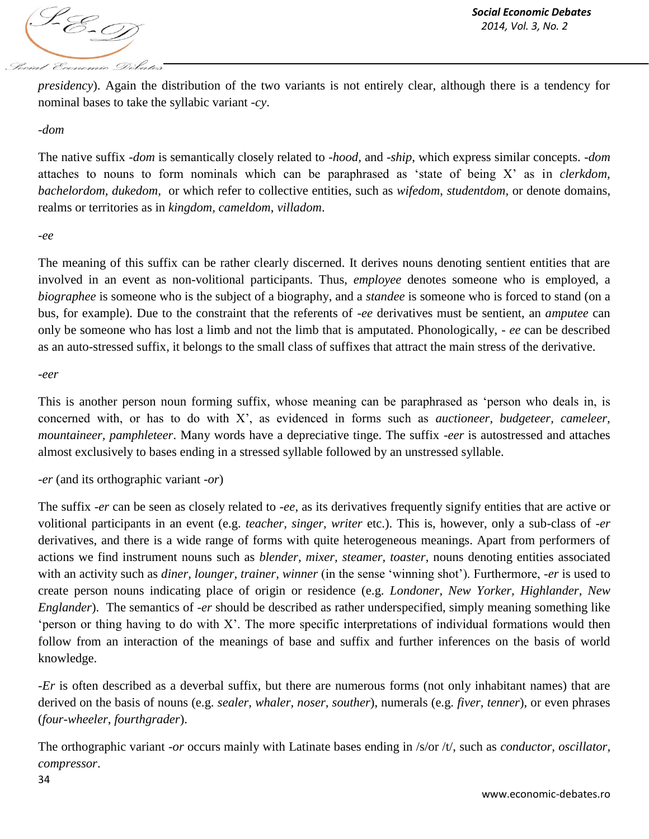

*presidency*). Again the distribution of the two variants is not entirely clear, although there is a tendency for nominal bases to take the syllabic variant *-cy*.

#### *-dom*

The native suffix *-dom* is semantically closely related to *-hood,* and *-ship*, which express similar concepts. *-dom*  attaches to nouns to form nominals which can be paraphrased as 'state of being X' as in *clerkdom, bachelordom, dukedom,* or which refer to collective entities, such as *wifedom*, *studentdom,* or denote domains, realms or territories as in *kingdom, cameldom*, *villadom*.

*-ee*

The meaning of this suffix can be rather clearly discerned. It derives nouns denoting sentient entities that are involved in an event as non-volitional participants. Thus, *employee* denotes someone who is employed, a *biographee* is someone who is the subject of a biography, and a *standee* is someone who is forced to stand (on a bus, for example). Due to the constraint that the referents of *-ee* derivatives must be sentient, an *amputee* can only be someone who has lost a limb and not the limb that is amputated. Phonologically, *- ee* can be described as an auto-stressed suffix, it belongs to the small class of suffixes that attract the main stress of the derivative.

*-eer*

This is another person noun forming suffix, whose meaning can be paraphrased as 'person who deals in, is concerned with, or has to do with X', as evidenced in forms such as *auctioneer, budgeteer, cameleer, mountaineer, pamphleteer*. Many words have a depreciative tinge. The suffix *-eer* is autostressed and attaches almost exclusively to bases ending in a stressed syllable followed by an unstressed syllable.

*-er* (and its orthographic variant *-or*)

The suffix *-er* can be seen as closely related to *-ee*, as its derivatives frequently signify entities that are active or volitional participants in an event (e.g. *teacher, singer, writer* etc.). This is, however, only a sub-class of *-er*  derivatives, and there is a wide range of forms with quite heterogeneous meanings. Apart from performers of actions we find instrument nouns such as *blender, mixer, steamer, toaster*, nouns denoting entities associated with an activity such as *diner, lounger, trainer, winner* (in the sense 'winning shot'). Furthermore, *-er* is used to create person nouns indicating place of origin or residence (e.g. *Londoner*, *New Yorker, Highlander, New Englander*). The semantics of *-er* should be described as rather underspecified, simply meaning something like 'person or thing having to do with X'. The more specific interpretations of individual formations would then follow from an interaction of the meanings of base and suffix and further inferences on the basis of world knowledge.

*-Er* is often described as a deverbal suffix, but there are numerous forms (not only inhabitant names) that are derived on the basis of nouns (e.g. *sealer, whaler, noser, souther*), numerals (e.g. *fiver, tenner*), or even phrases (*four-wheeler*, *fourthgrader*).

The orthographic variant *-or* occurs mainly with Latinate bases ending in /s/or /t/, such as *conductor, oscillator, compressor*.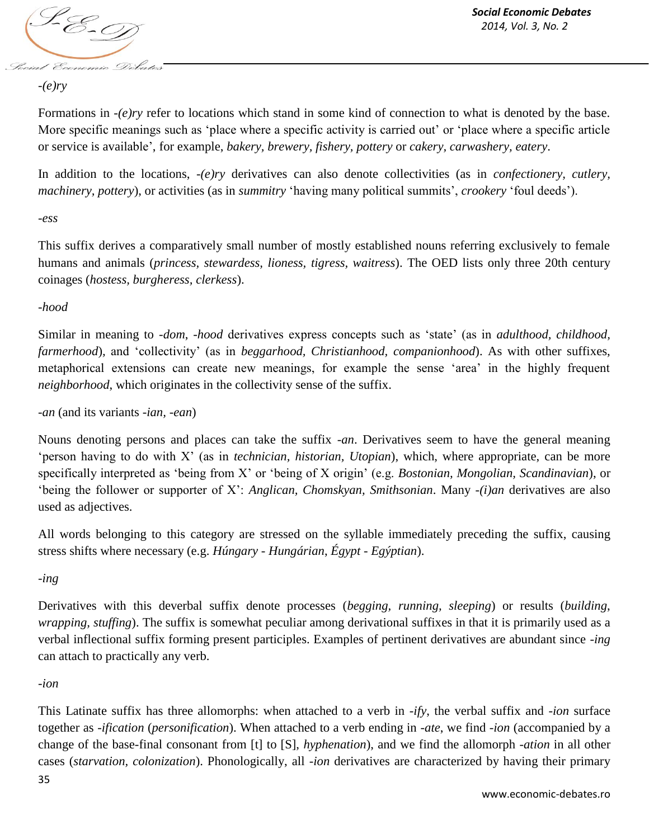

## *-(e)ry*

Formations in *-(e)ry* refer to locations which stand in some kind of connection to what is denoted by the base. More specific meanings such as 'place where a specific activity is carried out' or 'place where a specific article or service is available', for example, *bakery, brewery, fishery, pottery* or *cakery, carwashery, eatery*.

In addition to the locations, *-(e)ry* derivatives can also denote collectivities (as in *confectionery, cutlery, machinery, pottery*), or activities (as in *summitry* 'having many political summits', *crookery* 'foul deeds').

## *-ess*

This suffix derives a comparatively small number of mostly established nouns referring exclusively to female humans and animals (*princess, stewardess, lioness, tigress, waitress*). The OED lists only three 20th century coinages (*hostess, burgheress, clerkess*).

## *-hood*

Similar in meaning to *-dom*, *-hood* derivatives express concepts such as 'state' (as in *adulthood, childhood, farmerhood*)*,* and 'collectivity' (as in *beggarhood, Christianhood, companionhood*). As with other suffixes, metaphorical extensions can create new meanings, for example the sense 'area' in the highly frequent *neighborhood*, which originates in the collectivity sense of the suffix.

*-an* (and its variants *-ian, -ean*)

Nouns denoting persons and places can take the suffix *-an*. Derivatives seem to have the general meaning 'person having to do with X' (as in *technician, historian, Utopian*), which, where appropriate, can be more specifically interpreted as 'being from X' or 'being of X origin' (e.g. *Bostonian, Mongolian, Scandinavian*), or 'being the follower or supporter of X': *Anglican, Chomskyan, Smithsonian*. Many *-(i)an* derivatives are also used as adjectives.

All words belonging to this category are stressed on the syllable immediately preceding the suffix, causing stress shifts where necessary (e.g. *Húngary - Hungárian*, *Égypt - Egýptian*).

*-ing*

Derivatives with this deverbal suffix denote processes (*begging, running, sleeping*) or results (*building*, *wrapping, stuffing*). The suffix is somewhat peculiar among derivational suffixes in that it is primarily used as a verbal inflectional suffix forming present participles. Examples of pertinent derivatives are abundant since *-ing*  can attach to practically any verb.

## *-ion*

This Latinate suffix has three allomorphs: when attached to a verb in *-ify*, the verbal suffix and *-ion* surface together as *-ification* (*personification*). When attached to a verb ending in -*ate*, we find *-ion* (accompanied by a change of the base-final consonant from [t] to [S], *hyphenation*), and we find the allomorph -*ation* in all other cases (*starvation, colonization*). Phonologically, all *-ion* derivatives are characterized by having their primary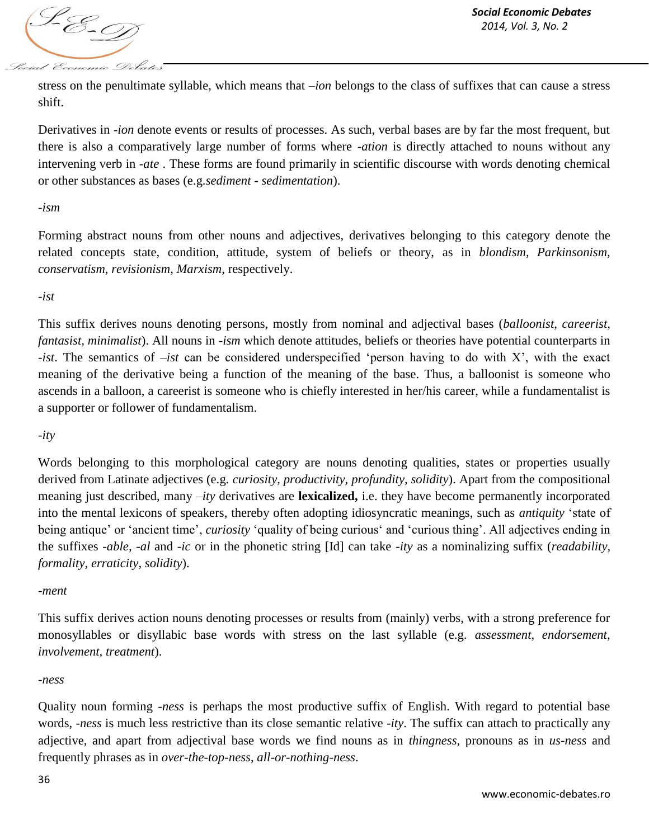

stress on the penultimate syllable, which means that *–ion* belongs to the class of suffixes that can cause a stress shift.

Derivatives in *-ion* denote events or results of processes. As such, verbal bases are by far the most frequent, but there is also a comparatively large number of forms where -*ation* is directly attached to nouns without any intervening verb in *-ate* . These forms are found primarily in scientific discourse with words denoting chemical or other substances as bases (e.g.*sediment - sedimentation*).

#### *-ism*

Forming abstract nouns from other nouns and adjectives, derivatives belonging to this category denote the related concepts state, condition, attitude, system of beliefs or theory, as in *blondism, Parkinsonism, conservatism, revisionism, Marxism*, respectively.

#### *-ist*

This suffix derives nouns denoting persons, mostly from nominal and adjectival bases (*balloonist*, *careerist, fantasist, minimalist*). All nouns in *-ism* which denote attitudes, beliefs or theories have potential counterparts in *-ist*. The semantics of *–ist* can be considered underspecified 'person having to do with X', with the exact meaning of the derivative being a function of the meaning of the base. Thus, a balloonist is someone who ascends in a balloon, a careerist is someone who is chiefly interested in her/his career, while a fundamentalist is a supporter or follower of fundamentalism.

## *-ity*

Words belonging to this morphological category are nouns denoting qualities, states or properties usually derived from Latinate adjectives (e.g. *curiosity, productivity, profundity, solidity*). Apart from the compositional meaning just described, many *–ity* derivatives are **lexicalized,** i.e. they have become permanently incorporated into the mental lexicons of speakers, thereby often adopting idiosyncratic meanings, such as *antiquity* 'state of being antique' or 'ancient time', *curiosity* 'quality of being curious' and 'curious thing'. All adjectives ending in the suffixes *-able, -al* and *-ic* or in the phonetic string [Id] can take *-ity* as a nominalizing suffix (*readability, formality, erraticity, solidity*).

## *-ment*

This suffix derives action nouns denoting processes or results from (mainly) verbs, with a strong preference for monosyllables or disyllabic base words with stress on the last syllable (e.g. *assessment, endorsement, involvement, treatment*).

#### *-ness*

Quality noun forming *-ness* is perhaps the most productive suffix of English. With regard to potential base words, *-ness* is much less restrictive than its close semantic relative *-ity*. The suffix can attach to practically any adjective, and apart from adjectival base words we find nouns as in *thingness*, pronouns as in *us-ness* and frequently phrases as in *over-the-top-ness*, *all-or-nothing-ness*.